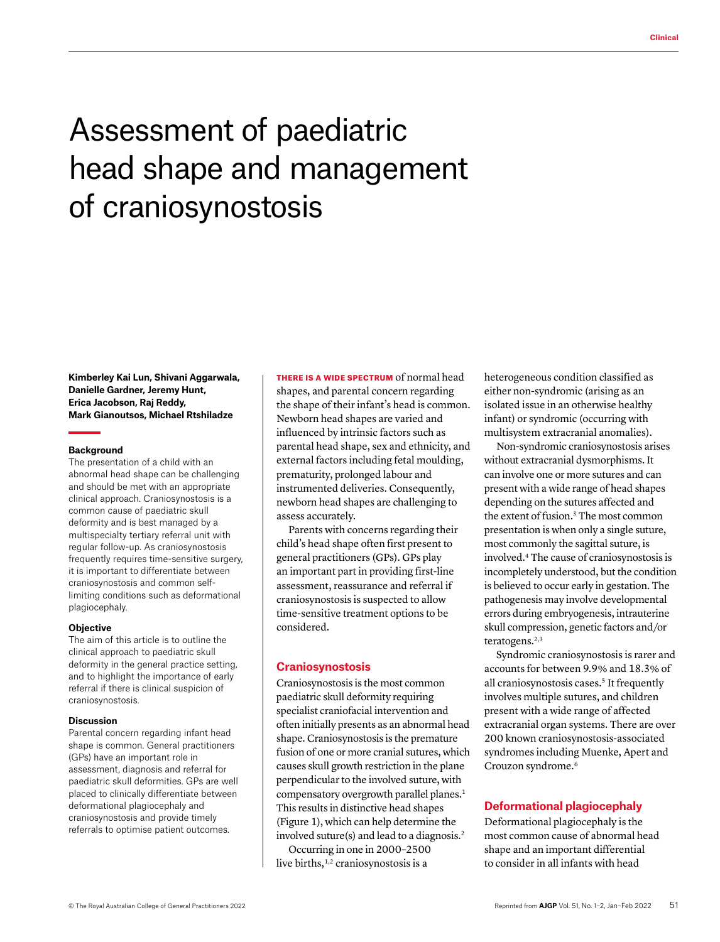# Assessment of paediatric head shape and management of craniosynostosis

**Kimberley Kai Lun, Shivani Aggarwala, Danielle Gardner, Jeremy Hunt, Erica Jacobson, Raj Reddy, Mark Gianoutsos, Michael Rtshiladze**

#### **Background**

The presentation of a child with an abnormal head shape can be challenging and should be met with an appropriate clinical approach. Craniosynostosis is a common cause of paediatric skull deformity and is best managed by a multispecialty tertiary referral unit with regular follow-up. As craniosynostosis frequently requires time-sensitive surgery, it is important to differentiate between craniosynostosis and common selflimiting conditions such as deformational plagiocephaly.

#### **Objective**

The aim of this article is to outline the clinical approach to paediatric skull deformity in the general practice setting, and to highlight the importance of early referral if there is clinical suspicion of craniosynostosis.

#### **Discussion**

Parental concern regarding infant head shape is common. General practitioners (GPs) have an important role in assessment, diagnosis and referral for paediatric skull deformities. GPs are well placed to clinically differentiate between deformational plagiocephaly and craniosynostosis and provide timely referrals to optimise patient outcomes.

THERE IS A WIDE SPECTRUM of normal head shapes, and parental concern regarding the shape of their infant's head is common. Newborn head shapes are varied and influenced by intrinsic factors such as parental head shape, sex and ethnicity, and external factors including fetal moulding, prematurity, prolonged labour and instrumented deliveries. Consequently, newborn head shapes are challenging to assess accurately.

Parents with concerns regarding their child's head shape often first present to general practitioners (GPs). GPs play an important part in providing first-line assessment, reassurance and referral if craniosynostosis is suspected to allow time-sensitive treatment options to be considered.

## **Craniosynostosis**

Craniosynostosis is the most common paediatric skull deformity requiring specialist craniofacial intervention and often initially presents as an abnormal head shape. Craniosynostosis is the premature fusion of one or more cranial sutures, which causes skull growth restriction in the plane perpendicular to the involved suture, with compensatory overgrowth parallel planes.<sup>1</sup> This results in distinctive head shapes (Figure 1), which can help determine the involved suture(s) and lead to a diagnosis.2

Occurring in one in 2000–2500 live births, $1,2$  craniosynostosis is a

heterogeneous condition classified as either non-syndromic (arising as an isolated issue in an otherwise healthy infant) or syndromic (occurring with multisystem extracranial anomalies).

Non-syndromic craniosynostosis arises without extracranial dysmorphisms. It can involve one or more sutures and can present with a wide range of head shapes depending on the sutures affected and the extent of fusion.<sup>3</sup> The most common presentation is when only a single suture, most commonly the sagittal suture, is involved.4 The cause of craniosynostosis is incompletely understood, but the condition is believed to occur early in gestation. The pathogenesis may involve developmental errors during embryogenesis, intrauterine skull compression, genetic factors and/or teratogens.<sup>2,3</sup>

Syndromic craniosynostosis is rarer and accounts for between 9.9% and 18.3% of all craniosynostosis cases.<sup>5</sup> It frequently involves multiple sutures, and children present with a wide range of affected extracranial organ systems. There are over 200 known craniosynostosis-associated syndromes including Muenke, Apert and Crouzon syndrome.<sup>6</sup>

## **Deformational plagiocephaly**

Deformational plagiocephaly is the most common cause of abnormal head shape and an important differential to consider in all infants with head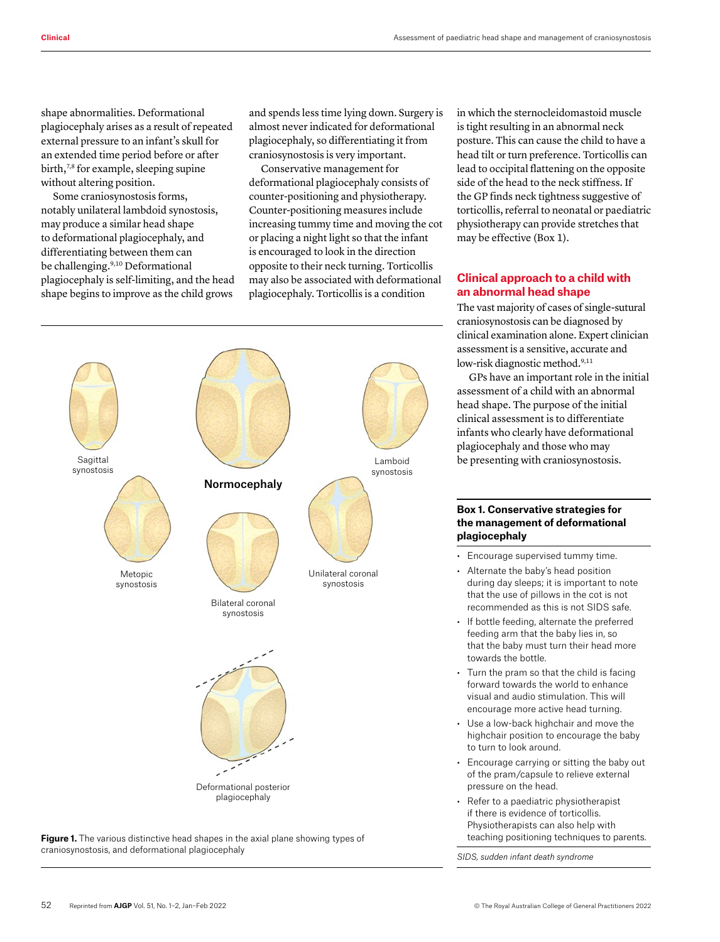shape abnormalities. Deformational plagiocephaly arises as a result of repeated external pressure to an infant's skull for an extended time period before or after birth,<sup>7,8</sup> for example, sleeping supine without altering position.

Some craniosynostosis forms, notably unilateral lambdoid synostosis, may produce a similar head shape to deformational plagiocephaly, and differentiating between them can be challenging.9,10 Deformational plagiocephaly is self-limiting, and the head shape begins to improve as the child grows

and spends less time lying down. Surgery is almost never indicated for deformational plagiocephaly, so differentiating it from craniosynostosis is very important.

Conservative management for deformational plagiocephaly consists of counter-positioning and physiotherapy. Counter-positioning measures include increasing tummy time and moving the cot or placing a night light so that the infant is encouraged to look in the direction opposite to their neck turning. Torticollis may also be associated with deformational plagiocephaly. Torticollis is a condition



**Figure 1.** The various distinctive head shapes in the axial plane showing types of craniosynostosis, and deformational plagiocephaly

in which the sternocleidomastoid muscle is tight resulting in an abnormal neck posture. This can cause the child to have a head tilt or turn preference. Torticollis can lead to occipital flattening on the opposite side of the head to the neck stiffness. If the GP finds neck tightness suggestive of torticollis, referral to neonatal or paediatric physiotherapy can provide stretches that may be effective (Box 1).

# **Clinical approach to a child with an abnormal head shape**

The vast majority of cases of single-sutural craniosynostosis can be diagnosed by clinical examination alone. Expert clinician assessment is a sensitive, accurate and low-risk diagnostic method.<sup>9,11</sup>

GPs have an important role in the initial assessment of a child with an abnormal head shape. The purpose of the initial clinical assessment is to differentiate infants who clearly have deformational plagiocephaly and those who may be presenting with craniosynostosis.

## **Box 1. Conservative strategies for the management of deformational plagiocephaly**

- Encourage supervised tummy time.
- Alternate the baby's head position during day sleeps; it is important to note that the use of pillows in the cot is not recommended as this is not SIDS safe.
- If bottle feeding, alternate the preferred feeding arm that the baby lies in, so that the baby must turn their head more towards the bottle.
- Turn the pram so that the child is facing forward towards the world to enhance visual and audio stimulation. This will encourage more active head turning.
- Use a low-back highchair and move the highchair position to encourage the baby to turn to look around.
- Encourage carrying or sitting the baby out of the pram/capsule to relieve external pressure on the head.
- Refer to a paediatric physiotherapist if there is evidence of torticollis. Physiotherapists can also help with teaching positioning techniques to parents.

*SIDS, sudden infant death syndrome*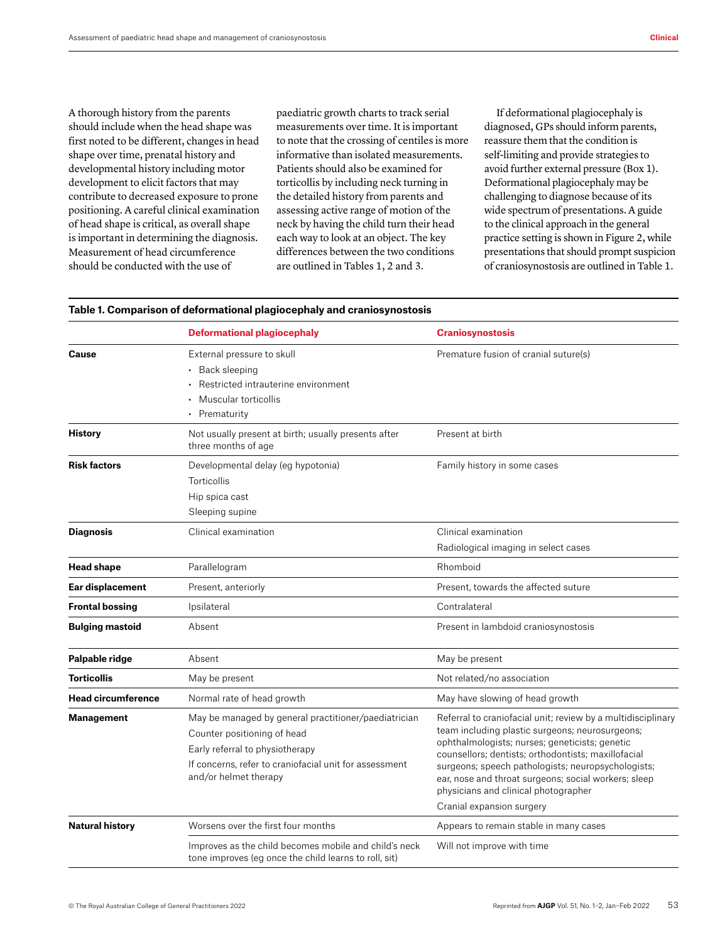A thorough history from the parents should include when the head shape was first noted to be different, changes in head shape over time, prenatal history and developmental history including motor development to elicit factors that may contribute to decreased exposure to prone positioning. A careful clinical examination of head shape is critical, as overall shape is important in determining the diagnosis. Measurement of head circumference should be conducted with the use of

paediatric growth charts to track serial measurements over time. It is important to note that the crossing of centiles is more informative than isolated measurements. Patients should also be examined for torticollis by including neck turning in the detailed history from parents and assessing active range of motion of the neck by having the child turn their head each way to look at an object. The key differences between the two conditions are outlined in Tables 1, 2 and 3.

If deformational plagiocephaly is diagnosed, GPs should inform parents, reassure them that the condition is self-limiting and provide strategies to avoid further external pressure (Box 1). Deformational plagiocephaly may be challenging to diagnose because of its wide spectrum of presentations. A guide to the clinical approach in the general practice setting is shown in Figure 2, while presentations that should prompt suspicion of craniosynostosis are outlined in Table 1.

|                           | <b>Deformational plagiocephaly</b>                                                                                                                                                                        | <b>Craniosynostosis</b>                                                                                                                                                                                                                                                                                                                                                        |  |  |
|---------------------------|-----------------------------------------------------------------------------------------------------------------------------------------------------------------------------------------------------------|--------------------------------------------------------------------------------------------------------------------------------------------------------------------------------------------------------------------------------------------------------------------------------------------------------------------------------------------------------------------------------|--|--|
| <b>Cause</b>              | External pressure to skull<br>• Back sleeping<br>Restricted intrauterine environment<br>Muscular torticollis<br>• Prematurity                                                                             | Premature fusion of cranial suture(s)                                                                                                                                                                                                                                                                                                                                          |  |  |
| <b>History</b>            | Not usually present at birth; usually presents after<br>three months of age                                                                                                                               | Present at birth                                                                                                                                                                                                                                                                                                                                                               |  |  |
| <b>Risk factors</b>       | Developmental delay (eg hypotonia)<br>Torticollis<br>Hip spica cast<br>Sleeping supine                                                                                                                    | Family history in some cases                                                                                                                                                                                                                                                                                                                                                   |  |  |
| <b>Diagnosis</b>          | Clinical examination                                                                                                                                                                                      | Clinical examination<br>Radiological imaging in select cases                                                                                                                                                                                                                                                                                                                   |  |  |
| <b>Head shape</b>         | Parallelogram                                                                                                                                                                                             | Rhomboid                                                                                                                                                                                                                                                                                                                                                                       |  |  |
| Ear displacement          | Present, anteriorly                                                                                                                                                                                       | Present, towards the affected suture                                                                                                                                                                                                                                                                                                                                           |  |  |
| <b>Frontal bossing</b>    | Ipsilateral                                                                                                                                                                                               | Contralateral                                                                                                                                                                                                                                                                                                                                                                  |  |  |
| <b>Bulging mastoid</b>    | Absent                                                                                                                                                                                                    | Present in lambdoid craniosynostosis                                                                                                                                                                                                                                                                                                                                           |  |  |
| Palpable ridge            | Absent                                                                                                                                                                                                    | May be present                                                                                                                                                                                                                                                                                                                                                                 |  |  |
| <b>Torticollis</b>        | May be present                                                                                                                                                                                            | Not related/no association                                                                                                                                                                                                                                                                                                                                                     |  |  |
| <b>Head circumference</b> | Normal rate of head growth                                                                                                                                                                                | May have slowing of head growth                                                                                                                                                                                                                                                                                                                                                |  |  |
| <b>Management</b>         | May be managed by general practitioner/paediatrician<br>Counter positioning of head<br>Early referral to physiotherapy<br>If concerns, refer to craniofacial unit for assessment<br>and/or helmet therapy | Referral to craniofacial unit; review by a multidisciplinary<br>team including plastic surgeons; neurosurgeons;<br>ophthalmologists; nurses; geneticists; genetic<br>counsellors; dentists; orthodontists; maxillofacial<br>surgeons; speech pathologists; neuropsychologists;<br>ear, nose and throat surgeons; social workers; sleep<br>physicians and clinical photographer |  |  |
| <b>Natural history</b>    | Worsens over the first four months                                                                                                                                                                        | Cranial expansion surgery<br>Appears to remain stable in many cases                                                                                                                                                                                                                                                                                                            |  |  |
|                           | Improves as the child becomes mobile and child's neck<br>tone improves (eg once the child learns to roll, sit)                                                                                            | Will not improve with time                                                                                                                                                                                                                                                                                                                                                     |  |  |

#### **Table 1. Comparison of deformational plagiocephaly and craniosynostosis**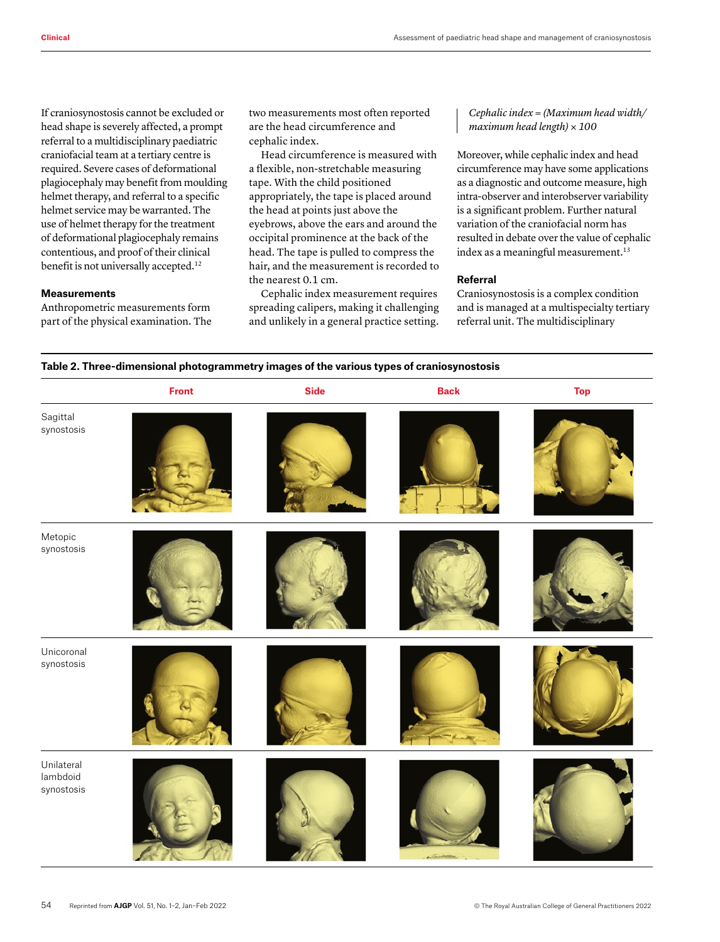If craniosynostosis cannot be excluded or head shape is severely affected, a prompt referral to a multidisciplinary paediatric craniofacial team at a tertiary centre is required. Severe cases of deformational plagiocephaly may benefit from moulding helmet therapy, and referral to a specific helmet service may be warranted. The use of helmet therapy for the treatment of deformational plagiocephaly remains contentious, and proof of their clinical benefit is not universally accepted.<sup>12</sup>

## **Measurements**

Anthropometric measurements form part of the physical examination. The two measurements most often reported are the head circumference and cephalic index.

Head circumference is measured with a flexible, non-stretchable measuring tape. With the child positioned appropriately, the tape is placed around the head at points just above the eyebrows, above the ears and around the occipital prominence at the back of the head. The tape is pulled to compress the hair, and the measurement is recorded to the nearest 0.1 cm.

Cephalic index measurement requires spreading calipers, making it challenging and unlikely in a general practice setting.

*Cephalic index = (Maximum head width/ maximum head length) × 100* 

Moreover, while cephalic index and head circumference may have some applications as a diagnostic and outcome measure, high intra-observer and interobserver variability is a significant problem. Further natural variation of the craniofacial norm has resulted in debate over the value of cephalic index as a meaningful measurement.<sup>13</sup>

## **Referral**

Craniosynostosis is a complex condition and is managed at a multispecialty tertiary referral unit. The multidisciplinary

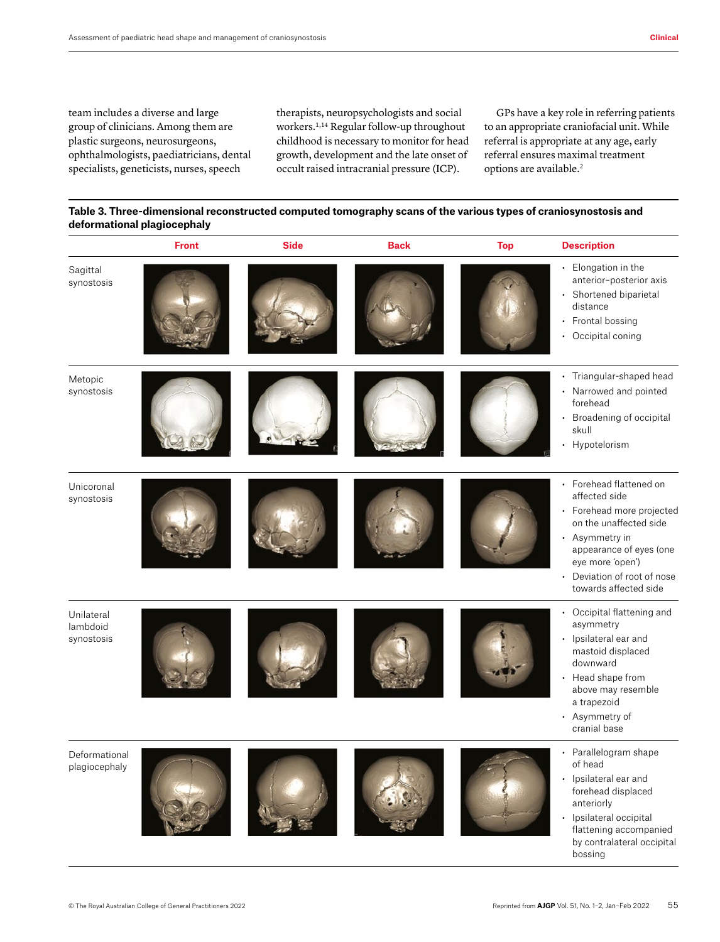team includes a diverse and large group of clinicians. Among them are plastic surgeons, neurosurgeons, ophthalmologists, paediatricians, dental specialists, geneticists, nurses, speech

therapists, neuropsychologists and social workers.1,14 Regular follow-up throughout childhood is necessary to monitor for head growth, development and the late onset of occult raised intracranial pressure (ICP).

GPs have a key role in referring patients to an appropriate craniofacial unit. While referral is appropriate at any age, early referral ensures maximal treatment options are available.<sup>2</sup>

**Table 3. Three-dimensional reconstructed computed tomography scans of the various types of craniosynostosis and deformational plagiocephaly**

|                                      | <b>Front</b> | <b>Side</b> | <b>Back</b> | <b>Top</b> | <b>Description</b>                                                                                                                                                                                                                             |
|--------------------------------------|--------------|-------------|-------------|------------|------------------------------------------------------------------------------------------------------------------------------------------------------------------------------------------------------------------------------------------------|
| Sagittal<br>synostosis               |              |             |             |            | • Elongation in the<br>anterior-posterior axis<br>• Shortened biparietal<br>distance<br>• Frontal bossing<br>• Occipital coning                                                                                                                |
| Metopic<br>synostosis                |              |             |             |            | • Triangular-shaped head<br>• Narrowed and pointed<br>forehead<br>• Broadening of occipital<br>skull<br>Hypotelorism<br>$\ddot{\phantom{0}}$                                                                                                   |
| Unicoronal<br>synostosis             |              |             |             |            | • Forehead flattened on<br>affected side<br>• Forehead more projected<br>on the unaffected side<br>• Asymmetry in<br>appearance of eyes (one<br>eye more 'open')<br>Deviation of root of nose<br>$\ddot{\phantom{0}}$<br>towards affected side |
| Unilateral<br>lambdoid<br>synostosis |              |             |             |            | • Occipital flattening and<br>asymmetry<br>Ipsilateral ear and<br>$\bullet$<br>mastoid displaced<br>downward<br>• Head shape from<br>above may resemble<br>a trapezoid<br>• Asymmetry of<br>cranial base                                       |
| Deformational<br>plagiocephaly       |              |             |             |            | • Parallelogram shape<br>of head<br>• Ipsilateral ear and<br>forehead displaced<br>anteriorly<br>Ipsilateral occipital<br>$\cdot$<br>flattening accompanied<br>by contralateral occipital                                                      |

bossing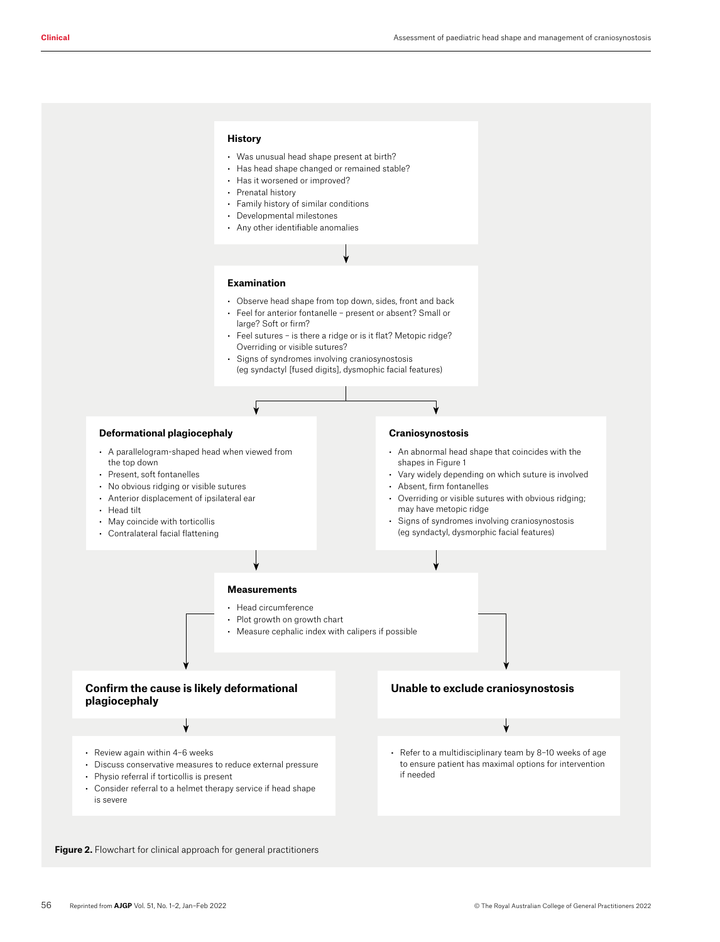#### **History**

- Was unusual head shape present at birth?
- Has head shape changed or remained stable?
- Has it worsened or improved?
- Prenatal history
- Family history of similar conditions • Any other identifiable anomalies
- Developmental milestones

#### **Examination**

- Observe head shape from top down, sides, front and back
- Feel for anterior fontanelle present or absent? Small or large? Soft or firm?
- Feel sutures is there a ridge or is it flat? Metopic ridge? Overriding or visible sutures?
- Signs of syndromes involving craniosynostosis (eg syndactyl [fused digits], dysmophic facial features)



Figure 2. Flowchart for clinical approach for general practitioners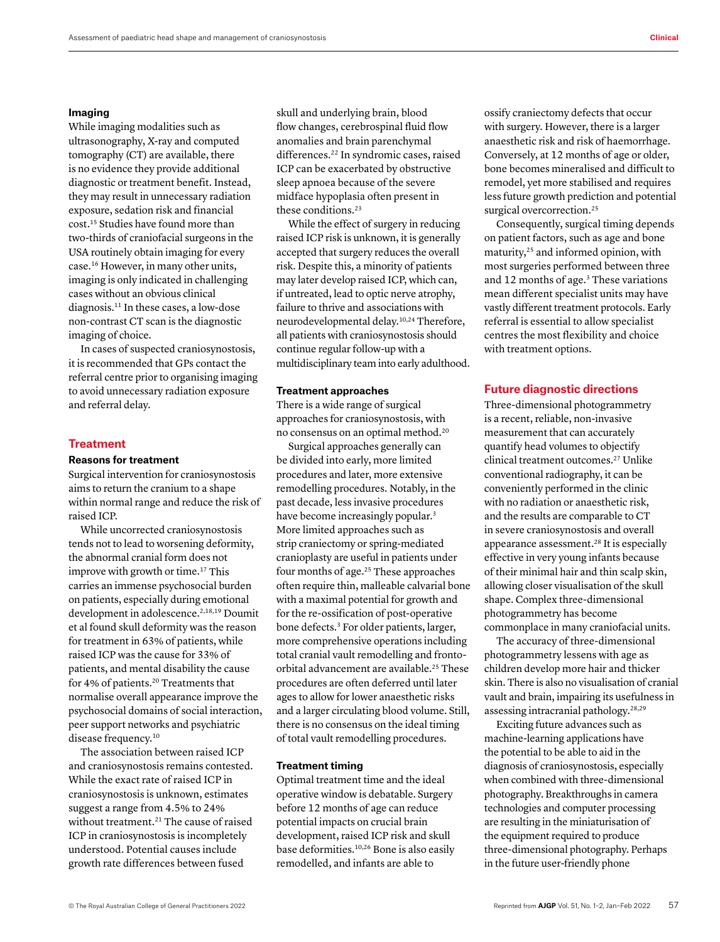#### **Imaging**

While imaging modalities such as ultrasonography, X-ray and computed tomography (CT) are available, there is no evidence they provide additional diagnostic or treatment benefit. Instead, they may result in unnecessary radiation exposure, sedation risk and financial cost.15 Studies have found more than two-thirds of craniofacial surgeons in the USA routinely obtain imaging for every case.16 However, in many other units, imaging is only indicated in challenging cases without an obvious clinical diagnosis.11 In these cases, a low-dose non-contrast CT scan is the diagnostic imaging of choice.

In cases of suspected craniosynostosis, it is recommended that GPs contact the referral centre prior to organising imaging to avoid unnecessary radiation exposure and referral delay.

## **Treatment**

## **Reasons for treatment**

Surgical intervention for craniosynostosis aims to return the cranium to a shape within normal range and reduce the risk of raised ICP.

While uncorrected craniosynostosis tends not to lead to worsening deformity, the abnormal cranial form does not improve with growth or time.17 This carries an immense psychosocial burden on patients, especially during emotional development in adolescence.<sup>2,18,19</sup> Doumit et al found skull deformity was the reason for treatment in 63% of patients, while raised ICP was the cause for 33% of patients, and mental disability the cause for 4% of patients.<sup>20</sup> Treatments that normalise overall appearance improve the psychosocial domains of social interaction, peer support networks and psychiatric disease frequency.<sup>10</sup>

The association between raised ICP and craniosynostosis remains contested. While the exact rate of raised ICP in craniosynostosis is unknown, estimates suggest a range from 4.5% to 24% without treatment.<sup>21</sup> The cause of raised ICP in craniosynostosis is incompletely understood. Potential causes include growth rate differences between fused

skull and underlying brain, blood flow changes, cerebrospinal fluid flow anomalies and brain parenchymal differences.<sup>22</sup> In syndromic cases, raised ICP can be exacerbated by obstructive sleep apnoea because of the severe midface hypoplasia often present in these conditions.23

While the effect of surgery in reducing raised ICP risk is unknown, it is generally accepted that surgery reduces the overall risk. Despite this, a minority of patients may later develop raised ICP, which can, if untreated, lead to optic nerve atrophy, failure to thrive and associations with neurodevelopmental delay.10,24 Therefore, all patients with craniosynostosis should continue regular follow-up with a multidisciplinary team into early adulthood.

#### **Treatment approaches**

There is a wide range of surgical approaches for craniosynostosis, with no consensus on an optimal method.20

Surgical approaches generally can be divided into early, more limited procedures and later, more extensive remodelling procedures. Notably, in the past decade, less invasive procedures have become increasingly popular.<sup>3</sup> More limited approaches such as strip craniectomy or spring-mediated cranioplasty are useful in patients under four months of age.25 These approaches often require thin, malleable calvarial bone with a maximal potential for growth and for the re-ossification of post-operative bone defects.3 For older patients, larger, more comprehensive operations including total cranial vault remodelling and frontoorbital advancement are available.25 These procedures are often deferred until later ages to allow for lower anaesthetic risks and a larger circulating blood volume. Still, there is no consensus on the ideal timing of total vault remodelling procedures.

## **Treatment timing**

Optimal treatment time and the ideal operative window is debatable. Surgery before 12 months of age can reduce potential impacts on crucial brain development, raised ICP risk and skull base deformities.10,26 Bone is also easily remodelled, and infants are able to

ossify craniectomy defects that occur with surgery. However, there is a larger anaesthetic risk and risk of haemorrhage. Conversely, at 12 months of age or older, bone becomes mineralised and difficult to remodel, yet more stabilised and requires less future growth prediction and potential surgical overcorrection.<sup>25</sup>

Consequently, surgical timing depends on patient factors, such as age and bone maturity,25 and informed opinion, with most surgeries performed between three and 12 months of age.<sup>3</sup> These variations mean different specialist units may have vastly different treatment protocols. Early referral is essential to allow specialist centres the most flexibility and choice with treatment options.

## **Future diagnostic directions**

Three-dimensional photogrammetry is a recent, reliable, non-invasive measurement that can accurately quantify head volumes to objectify clinical treatment outcomes.27 Unlike conventional radiography, it can be conveniently performed in the clinic with no radiation or anaesthetic risk, and the results are comparable to CT in severe craniosynostosis and overall appearance assessment.28 It is especially effective in very young infants because of their minimal hair and thin scalp skin, allowing closer visualisation of the skull shape. Complex three-dimensional photogrammetry has become commonplace in many craniofacial units.

The accuracy of three-dimensional photogrammetry lessens with age as children develop more hair and thicker skin. There is also no visualisation of cranial vault and brain, impairing its usefulness in assessing intracranial pathology.28,29

Exciting future advances such as machine-learning applications have the potential to be able to aid in the diagnosis of craniosynostosis, especially when combined with three-dimensional photography. Breakthroughs in camera technologies and computer processing are resulting in the miniaturisation of the equipment required to produce three-dimensional photography. Perhaps in the future user-friendly phone